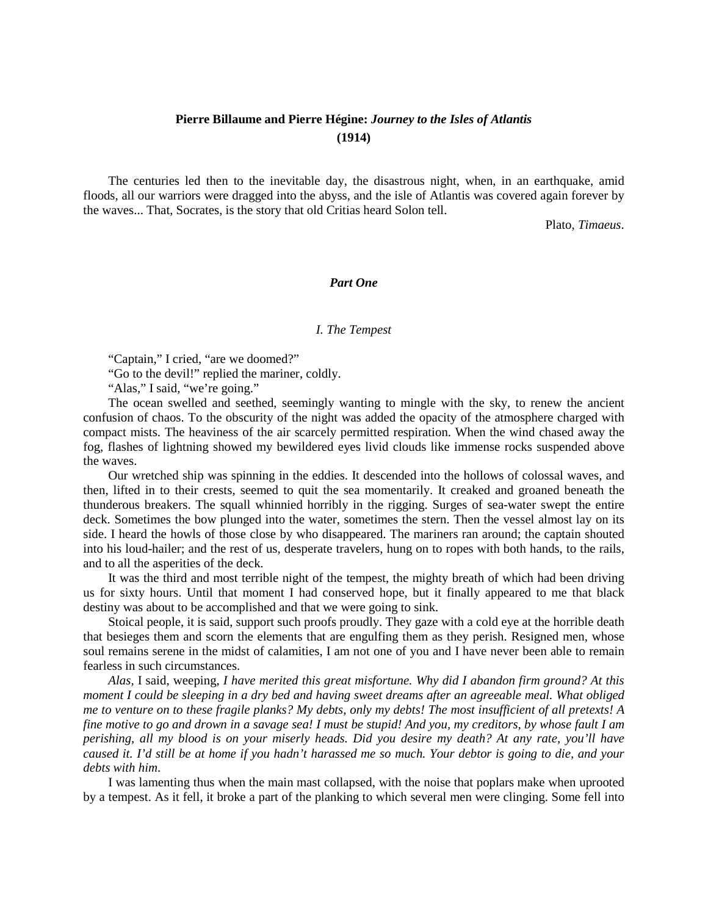# **Pierre Billaume and Pierre Hégine:** *Journey to the Isles of Atlantis* **(1914)**

The centuries led then to the inevitable day, the disastrous night, when, in an earthquake, amid floods, all our warriors were dragged into the abyss, and the isle of Atlantis was covered again forever by the waves... That, Socrates, is the story that old Critias heard Solon tell.

Plato, *Timaeus*.

### *Part One*

#### *I. The Tempest*

"Captain," I cried, "are we doomed?"

"Go to the devil!" replied the mariner, coldly.

"Alas," I said, "we're going."

The ocean swelled and seethed, seemingly wanting to mingle with the sky, to renew the ancient confusion of chaos. To the obscurity of the night was added the opacity of the atmosphere charged with compact mists. The heaviness of the air scarcely permitted respiration. When the wind chased away the fog, flashes of lightning showed my bewildered eyes livid clouds like immense rocks suspended above the waves.

Our wretched ship was spinning in the eddies. It descended into the hollows of colossal waves, and then, lifted in to their crests, seemed to quit the sea momentarily. It creaked and groaned beneath the thunderous breakers. The squall whinnied horribly in the rigging. Surges of sea-water swept the entire deck. Sometimes the bow plunged into the water, sometimes the stern. Then the vessel almost lay on its side. I heard the howls of those close by who disappeared. The mariners ran around; the captain shouted into his loud-hailer; and the rest of us, desperate travelers, hung on to ropes with both hands, to the rails, and to all the asperities of the deck.

It was the third and most terrible night of the tempest, the mighty breath of which had been driving us for sixty hours. Until that moment I had conserved hope, but it finally appeared to me that black destiny was about to be accomplished and that we were going to sink.

Stoical people, it is said, support such proofs proudly. They gaze with a cold eye at the horrible death that besieges them and scorn the elements that are engulfing them as they perish. Resigned men, whose soul remains serene in the midst of calamities, I am not one of you and I have never been able to remain fearless in such circumstances.

*Alas*, I said, weeping, *I have merited this great misfortune. Why did I abandon firm ground? At this moment I could be sleeping in a dry bed and having sweet dreams after an agreeable meal. What obliged me to venture on to these fragile planks? My debts, only my debts! The most insufficient of all pretexts! A fine motive to go and drown in a savage sea! I must be stupid! And you, my creditors, by whose fault I am perishing, all my blood is on your miserly heads. Did you desire my death? At any rate, you'll have caused it. I'd still be at home if you hadn't harassed me so much. Your debtor is going to die, and your debts with him*.

I was lamenting thus when the main mast collapsed, with the noise that poplars make when uprooted by a tempest. As it fell, it broke a part of the planking to which several men were clinging. Some fell into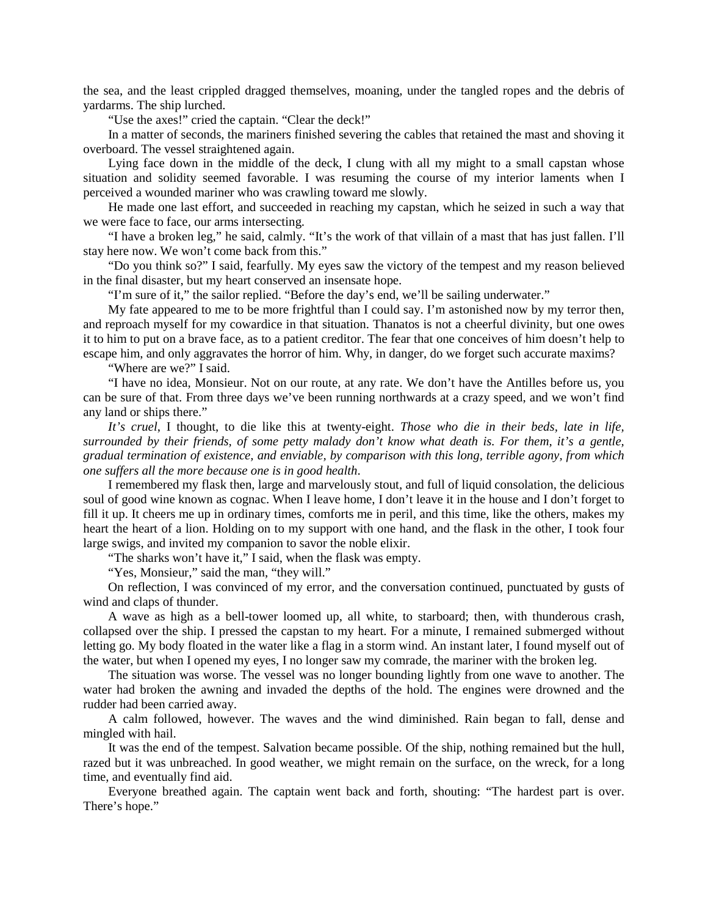the sea, and the least crippled dragged themselves, moaning, under the tangled ropes and the debris of yardarms. The ship lurched.

"Use the axes!" cried the captain. "Clear the deck!"

In a matter of seconds, the mariners finished severing the cables that retained the mast and shoving it overboard. The vessel straightened again.

Lying face down in the middle of the deck, I clung with all my might to a small capstan whose situation and solidity seemed favorable. I was resuming the course of my interior laments when I perceived a wounded mariner who was crawling toward me slowly.

He made one last effort, and succeeded in reaching my capstan, which he seized in such a way that we were face to face, our arms intersecting.

"I have a broken leg," he said, calmly. "It's the work of that villain of a mast that has just fallen. I'll stay here now. We won't come back from this."

"Do you think so?" I said, fearfully. My eyes saw the victory of the tempest and my reason believed in the final disaster, but my heart conserved an insensate hope.

"I'm sure of it," the sailor replied. "Before the day's end, we'll be sailing underwater."

My fate appeared to me to be more frightful than I could say. I'm astonished now by my terror then, and reproach myself for my cowardice in that situation. Thanatos is not a cheerful divinity, but one owes it to him to put on a brave face, as to a patient creditor. The fear that one conceives of him doesn't help to escape him, and only aggravates the horror of him. Why, in danger, do we forget such accurate maxims?

"Where are we?" I said.

"I have no idea, Monsieur. Not on our route, at any rate. We don't have the Antilles before us, you can be sure of that. From three days we've been running northwards at a crazy speed, and we won't find any land or ships there."

*It's cruel*, I thought, to die like this at twenty-eight. *Those who die in their beds, late in life, surrounded by their friends, of some petty malady don't know what death is. For them, it's a gentle, gradual termination of existence, and enviable, by comparison with this long, terrible agony, from which one suffers all the more because one is in good health*.

I remembered my flask then, large and marvelously stout, and full of liquid consolation, the delicious soul of good wine known as cognac. When I leave home, I don't leave it in the house and I don't forget to fill it up. It cheers me up in ordinary times, comforts me in peril, and this time, like the others, makes my heart the heart of a lion. Holding on to my support with one hand, and the flask in the other, I took four large swigs, and invited my companion to savor the noble elixir.

"The sharks won't have it," I said, when the flask was empty.

"Yes, Monsieur," said the man, "they will."

On reflection, I was convinced of my error, and the conversation continued, punctuated by gusts of wind and claps of thunder.

A wave as high as a bell-tower loomed up, all white, to starboard; then, with thunderous crash, collapsed over the ship. I pressed the capstan to my heart. For a minute, I remained submerged without letting go. My body floated in the water like a flag in a storm wind. An instant later, I found myself out of the water, but when I opened my eyes, I no longer saw my comrade, the mariner with the broken leg.

The situation was worse. The vessel was no longer bounding lightly from one wave to another. The water had broken the awning and invaded the depths of the hold. The engines were drowned and the rudder had been carried away.

A calm followed, however. The waves and the wind diminished. Rain began to fall, dense and mingled with hail.

It was the end of the tempest. Salvation became possible. Of the ship, nothing remained but the hull, razed but it was unbreached. In good weather, we might remain on the surface, on the wreck, for a long time, and eventually find aid.

Everyone breathed again. The captain went back and forth, shouting: "The hardest part is over. There's hope."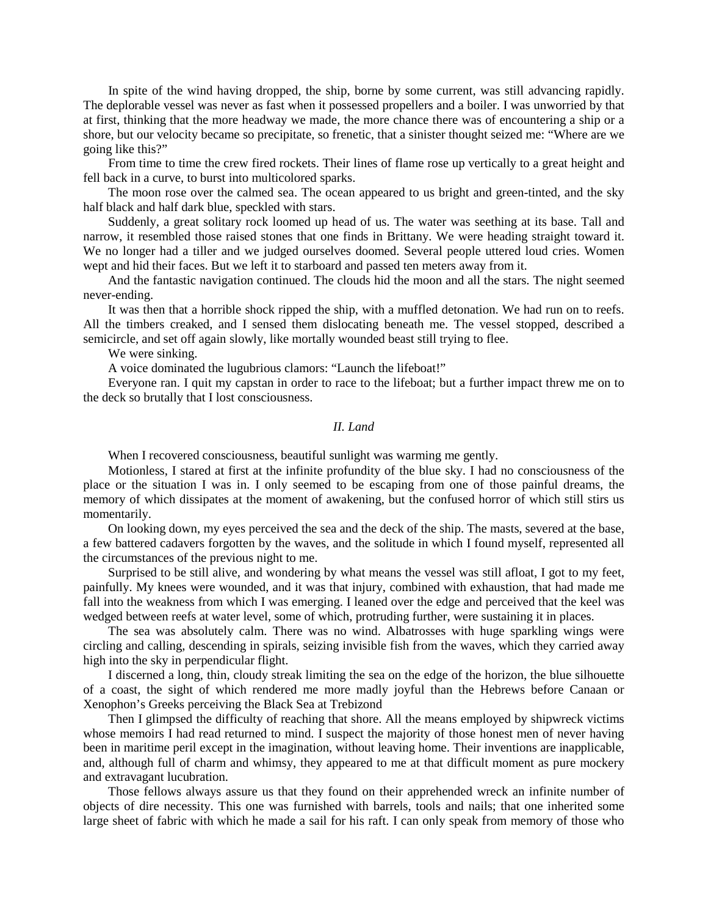In spite of the wind having dropped, the ship, borne by some current, was still advancing rapidly. The deplorable vessel was never as fast when it possessed propellers and a boiler. I was unworried by that at first, thinking that the more headway we made, the more chance there was of encountering a ship or a shore, but our velocity became so precipitate, so frenetic, that a sinister thought seized me: "Where are we going like this?"

From time to time the crew fired rockets. Their lines of flame rose up vertically to a great height and fell back in a curve, to burst into multicolored sparks.

The moon rose over the calmed sea. The ocean appeared to us bright and green-tinted, and the sky half black and half dark blue, speckled with stars.

Suddenly, a great solitary rock loomed up head of us. The water was seething at its base. Tall and narrow, it resembled those raised stones that one finds in Brittany. We were heading straight toward it. We no longer had a tiller and we judged ourselves doomed. Several people uttered loud cries. Women wept and hid their faces. But we left it to starboard and passed ten meters away from it.

And the fantastic navigation continued. The clouds hid the moon and all the stars. The night seemed never-ending.

It was then that a horrible shock ripped the ship, with a muffled detonation. We had run on to reefs. All the timbers creaked, and I sensed them dislocating beneath me. The vessel stopped, described a semicircle, and set off again slowly, like mortally wounded beast still trying to flee.

We were sinking.

A voice dominated the lugubrious clamors: "Launch the lifeboat!"

Everyone ran. I quit my capstan in order to race to the lifeboat; but a further impact threw me on to the deck so brutally that I lost consciousness.

## *II. Land*

When I recovered consciousness, beautiful sunlight was warming me gently.

Motionless, I stared at first at the infinite profundity of the blue sky. I had no consciousness of the place or the situation I was in. I only seemed to be escaping from one of those painful dreams, the memory of which dissipates at the moment of awakening, but the confused horror of which still stirs us momentarily.

On looking down, my eyes perceived the sea and the deck of the ship. The masts, severed at the base, a few battered cadavers forgotten by the waves, and the solitude in which I found myself, represented all the circumstances of the previous night to me.

Surprised to be still alive, and wondering by what means the vessel was still afloat, I got to my feet, painfully. My knees were wounded, and it was that injury, combined with exhaustion, that had made me fall into the weakness from which I was emerging. I leaned over the edge and perceived that the keel was wedged between reefs at water level, some of which, protruding further, were sustaining it in places.

The sea was absolutely calm. There was no wind. Albatrosses with huge sparkling wings were circling and calling, descending in spirals, seizing invisible fish from the waves, which they carried away high into the sky in perpendicular flight.

I discerned a long, thin, cloudy streak limiting the sea on the edge of the horizon, the blue silhouette of a coast, the sight of which rendered me more madly joyful than the Hebrews before Canaan or Xenophon's Greeks perceiving the Black Sea at Trebizond

Then I glimpsed the difficulty of reaching that shore. All the means employed by shipwreck victims whose memoirs I had read returned to mind. I suspect the majority of those honest men of never having been in maritime peril except in the imagination, without leaving home. Their inventions are inapplicable, and, although full of charm and whimsy, they appeared to me at that difficult moment as pure mockery and extravagant lucubration.

Those fellows always assure us that they found on their apprehended wreck an infinite number of objects of dire necessity. This one was furnished with barrels, tools and nails; that one inherited some large sheet of fabric with which he made a sail for his raft. I can only speak from memory of those who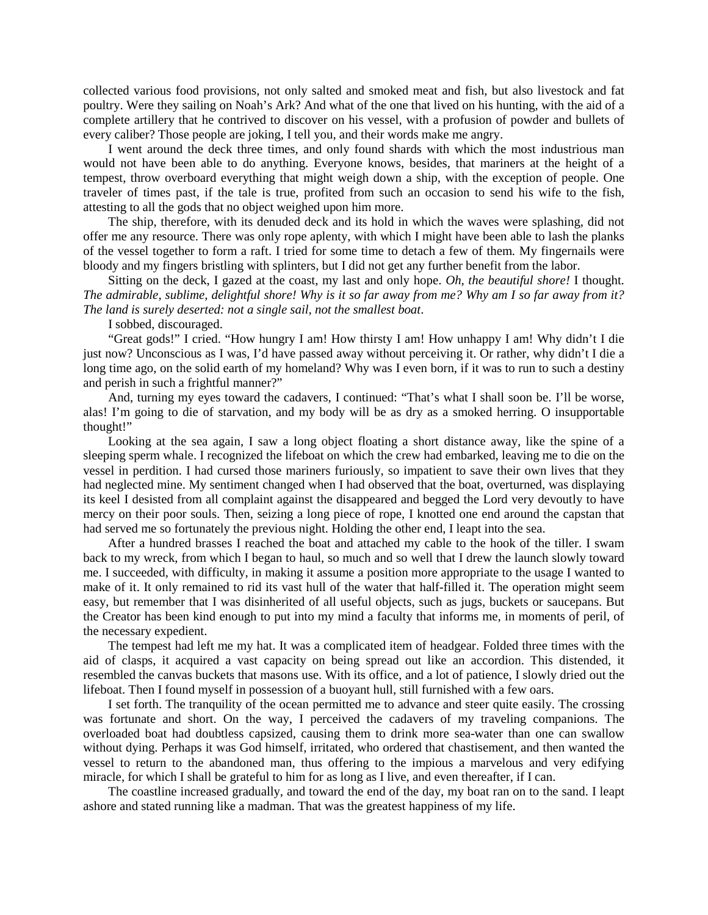collected various food provisions, not only salted and smoked meat and fish, but also livestock and fat poultry. Were they sailing on Noah's Ark? And what of the one that lived on his hunting, with the aid of a complete artillery that he contrived to discover on his vessel, with a profusion of powder and bullets of every caliber? Those people are joking, I tell you, and their words make me angry.

I went around the deck three times, and only found shards with which the most industrious man would not have been able to do anything. Everyone knows, besides, that mariners at the height of a tempest, throw overboard everything that might weigh down a ship, with the exception of people. One traveler of times past, if the tale is true, profited from such an occasion to send his wife to the fish, attesting to all the gods that no object weighed upon him more.

The ship, therefore, with its denuded deck and its hold in which the waves were splashing, did not offer me any resource. There was only rope aplenty, with which I might have been able to lash the planks of the vessel together to form a raft. I tried for some time to detach a few of them. My fingernails were bloody and my fingers bristling with splinters, but I did not get any further benefit from the labor.

Sitting on the deck, I gazed at the coast, my last and only hope. *Oh, the beautiful shore!* I thought. *The admirable, sublime, delightful shore! Why is it so far away from me? Why am I so far away from it? The land is surely deserted: not a single sail, not the smallest boat*.

I sobbed, discouraged.

"Great gods!" I cried. "How hungry I am! How thirsty I am! How unhappy I am! Why didn't I die just now? Unconscious as I was, I'd have passed away without perceiving it. Or rather, why didn't I die a long time ago, on the solid earth of my homeland? Why was I even born, if it was to run to such a destiny and perish in such a frightful manner?"

And, turning my eyes toward the cadavers, I continued: "That's what I shall soon be. I'll be worse, alas! I'm going to die of starvation, and my body will be as dry as a smoked herring. O insupportable thought!"

Looking at the sea again, I saw a long object floating a short distance away, like the spine of a sleeping sperm whale. I recognized the lifeboat on which the crew had embarked, leaving me to die on the vessel in perdition. I had cursed those mariners furiously, so impatient to save their own lives that they had neglected mine. My sentiment changed when I had observed that the boat, overturned, was displaying its keel I desisted from all complaint against the disappeared and begged the Lord very devoutly to have mercy on their poor souls. Then, seizing a long piece of rope, I knotted one end around the capstan that had served me so fortunately the previous night. Holding the other end, I leapt into the sea.

After a hundred brasses I reached the boat and attached my cable to the hook of the tiller. I swam back to my wreck, from which I began to haul, so much and so well that I drew the launch slowly toward me. I succeeded, with difficulty, in making it assume a position more appropriate to the usage I wanted to make of it. It only remained to rid its vast hull of the water that half-filled it. The operation might seem easy, but remember that I was disinherited of all useful objects, such as jugs, buckets or saucepans. But the Creator has been kind enough to put into my mind a faculty that informs me, in moments of peril, of the necessary expedient.

The tempest had left me my hat. It was a complicated item of headgear. Folded three times with the aid of clasps, it acquired a vast capacity on being spread out like an accordion. This distended, it resembled the canvas buckets that masons use. With its office, and a lot of patience, I slowly dried out the lifeboat. Then I found myself in possession of a buoyant hull, still furnished with a few oars.

I set forth. The tranquility of the ocean permitted me to advance and steer quite easily. The crossing was fortunate and short. On the way, I perceived the cadavers of my traveling companions. The overloaded boat had doubtless capsized, causing them to drink more sea-water than one can swallow without dying. Perhaps it was God himself, irritated, who ordered that chastisement, and then wanted the vessel to return to the abandoned man, thus offering to the impious a marvelous and very edifying miracle, for which I shall be grateful to him for as long as I live, and even thereafter, if I can.

The coastline increased gradually, and toward the end of the day, my boat ran on to the sand. I leapt ashore and stated running like a madman. That was the greatest happiness of my life.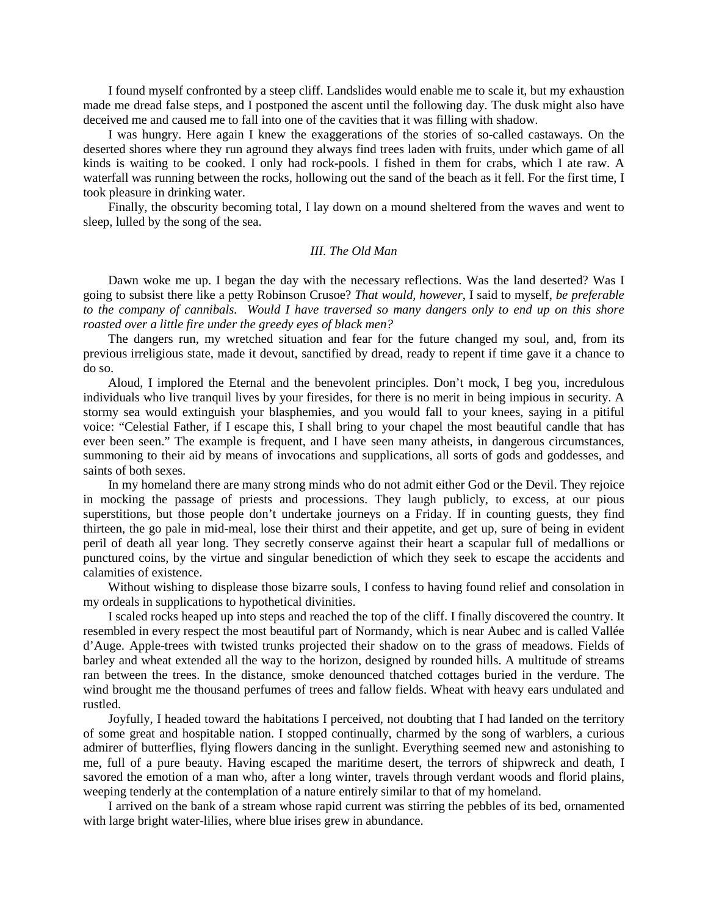I found myself confronted by a steep cliff. Landslides would enable me to scale it, but my exhaustion made me dread false steps, and I postponed the ascent until the following day. The dusk might also have deceived me and caused me to fall into one of the cavities that it was filling with shadow.

I was hungry. Here again I knew the exaggerations of the stories of so-called castaways. On the deserted shores where they run aground they always find trees laden with fruits, under which game of all kinds is waiting to be cooked. I only had rock-pools. I fished in them for crabs, which I ate raw. A waterfall was running between the rocks, hollowing out the sand of the beach as it fell. For the first time, I took pleasure in drinking water.

Finally, the obscurity becoming total, I lay down on a mound sheltered from the waves and went to sleep, lulled by the song of the sea.

#### *III. The Old Man*

Dawn woke me up. I began the day with the necessary reflections. Was the land deserted? Was I going to subsist there like a petty Robinson Crusoe? *That would, however*, I said to myself, *be preferable to the company of cannibals. Would I have traversed so many dangers only to end up on this shore roasted over a little fire under the greedy eyes of black men?*

The dangers run, my wretched situation and fear for the future changed my soul, and, from its previous irreligious state, made it devout, sanctified by dread, ready to repent if time gave it a chance to do so.

Aloud, I implored the Eternal and the benevolent principles. Don't mock, I beg you, incredulous individuals who live tranquil lives by your firesides, for there is no merit in being impious in security. A stormy sea would extinguish your blasphemies, and you would fall to your knees, saying in a pitiful voice: "Celestial Father, if I escape this, I shall bring to your chapel the most beautiful candle that has ever been seen." The example is frequent, and I have seen many atheists, in dangerous circumstances, summoning to their aid by means of invocations and supplications, all sorts of gods and goddesses, and saints of both sexes.

In my homeland there are many strong minds who do not admit either God or the Devil. They rejoice in mocking the passage of priests and processions. They laugh publicly, to excess, at our pious superstitions, but those people don't undertake journeys on a Friday. If in counting guests, they find thirteen, the go pale in mid-meal, lose their thirst and their appetite, and get up, sure of being in evident peril of death all year long. They secretly conserve against their heart a scapular full of medallions or punctured coins, by the virtue and singular benediction of which they seek to escape the accidents and calamities of existence.

Without wishing to displease those bizarre souls, I confess to having found relief and consolation in my ordeals in supplications to hypothetical divinities.

I scaled rocks heaped up into steps and reached the top of the cliff. I finally discovered the country. It resembled in every respect the most beautiful part of Normandy, which is near Aubec and is called Vallée d'Auge. Apple-trees with twisted trunks projected their shadow on to the grass of meadows. Fields of barley and wheat extended all the way to the horizon, designed by rounded hills. A multitude of streams ran between the trees. In the distance, smoke denounced thatched cottages buried in the verdure. The wind brought me the thousand perfumes of trees and fallow fields. Wheat with heavy ears undulated and rustled.

Joyfully, I headed toward the habitations I perceived, not doubting that I had landed on the territory of some great and hospitable nation. I stopped continually, charmed by the song of warblers, a curious admirer of butterflies, flying flowers dancing in the sunlight. Everything seemed new and astonishing to me, full of a pure beauty. Having escaped the maritime desert, the terrors of shipwreck and death, I savored the emotion of a man who, after a long winter, travels through verdant woods and florid plains, weeping tenderly at the contemplation of a nature entirely similar to that of my homeland.

I arrived on the bank of a stream whose rapid current was stirring the pebbles of its bed, ornamented with large bright water-lilies, where blue irises grew in abundance.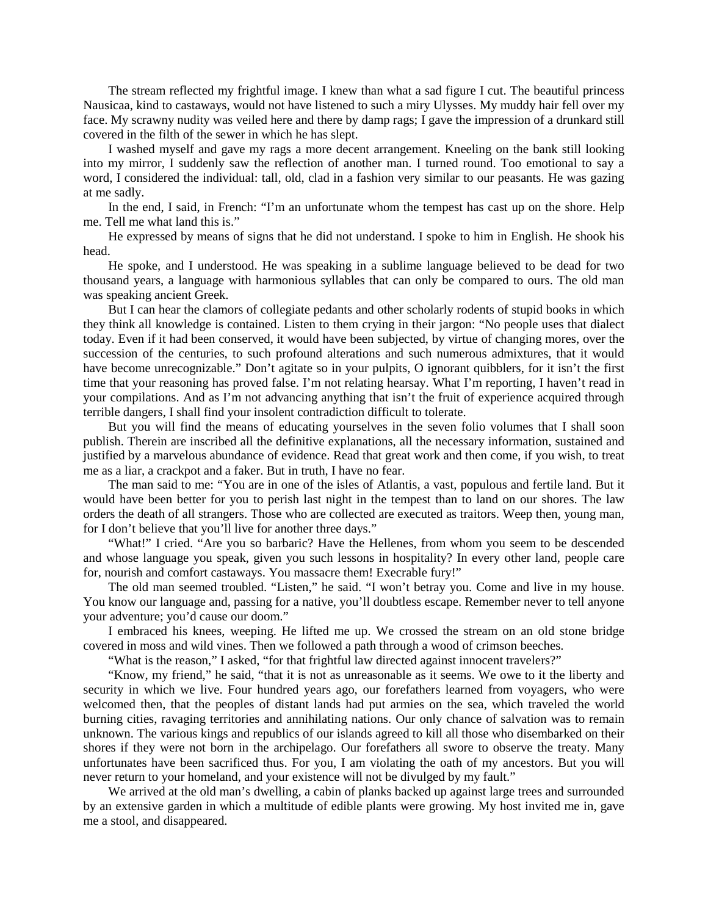The stream reflected my frightful image. I knew than what a sad figure I cut. The beautiful princess Nausicaa, kind to castaways, would not have listened to such a miry Ulysses. My muddy hair fell over my face. My scrawny nudity was veiled here and there by damp rags; I gave the impression of a drunkard still covered in the filth of the sewer in which he has slept.

I washed myself and gave my rags a more decent arrangement. Kneeling on the bank still looking into my mirror, I suddenly saw the reflection of another man. I turned round. Too emotional to say a word, I considered the individual: tall, old, clad in a fashion very similar to our peasants. He was gazing at me sadly.

In the end, I said, in French: "I'm an unfortunate whom the tempest has cast up on the shore. Help me. Tell me what land this is."

He expressed by means of signs that he did not understand. I spoke to him in English. He shook his head.

He spoke, and I understood. He was speaking in a sublime language believed to be dead for two thousand years, a language with harmonious syllables that can only be compared to ours. The old man was speaking ancient Greek.

But I can hear the clamors of collegiate pedants and other scholarly rodents of stupid books in which they think all knowledge is contained. Listen to them crying in their jargon: "No people uses that dialect today. Even if it had been conserved, it would have been subjected, by virtue of changing mores, over the succession of the centuries, to such profound alterations and such numerous admixtures, that it would have become unrecognizable." Don't agitate so in your pulpits, O ignorant quibblers, for it isn't the first time that your reasoning has proved false. I'm not relating hearsay. What I'm reporting, I haven't read in your compilations. And as I'm not advancing anything that isn't the fruit of experience acquired through terrible dangers, I shall find your insolent contradiction difficult to tolerate.

But you will find the means of educating yourselves in the seven folio volumes that I shall soon publish. Therein are inscribed all the definitive explanations, all the necessary information, sustained and justified by a marvelous abundance of evidence. Read that great work and then come, if you wish, to treat me as a liar, a crackpot and a faker. But in truth, I have no fear.

The man said to me: "You are in one of the isles of Atlantis, a vast, populous and fertile land. But it would have been better for you to perish last night in the tempest than to land on our shores. The law orders the death of all strangers. Those who are collected are executed as traitors. Weep then, young man, for I don't believe that you'll live for another three days."

"What!" I cried. "Are you so barbaric? Have the Hellenes, from whom you seem to be descended and whose language you speak, given you such lessons in hospitality? In every other land, people care for, nourish and comfort castaways. You massacre them! Execrable fury!"

The old man seemed troubled. "Listen," he said. "I won't betray you. Come and live in my house. You know our language and, passing for a native, you'll doubtless escape. Remember never to tell anyone your adventure; you'd cause our doom."

I embraced his knees, weeping. He lifted me up. We crossed the stream on an old stone bridge covered in moss and wild vines. Then we followed a path through a wood of crimson beeches.

"What is the reason," I asked, "for that frightful law directed against innocent travelers?"

"Know, my friend," he said, "that it is not as unreasonable as it seems. We owe to it the liberty and security in which we live. Four hundred years ago, our forefathers learned from voyagers, who were welcomed then, that the peoples of distant lands had put armies on the sea, which traveled the world burning cities, ravaging territories and annihilating nations. Our only chance of salvation was to remain unknown. The various kings and republics of our islands agreed to kill all those who disembarked on their shores if they were not born in the archipelago. Our forefathers all swore to observe the treaty. Many unfortunates have been sacrificed thus. For you, I am violating the oath of my ancestors. But you will never return to your homeland, and your existence will not be divulged by my fault."

We arrived at the old man's dwelling, a cabin of planks backed up against large trees and surrounded by an extensive garden in which a multitude of edible plants were growing. My host invited me in, gave me a stool, and disappeared.